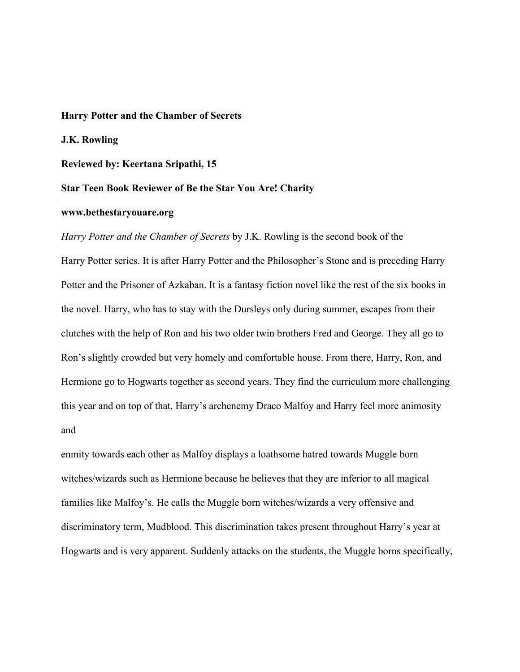## **Harry Potter and the Chamber of Secrets**

**J.K. Rowling**

## **Reviewed by: Keertana Sripathi, 15**

## **Star Teen Book Reviewer of Be the Star You Are! Charity**

## **www.bethestaryouare.org**

*Harry Potter and the Chamber of Secrets* by J.K. Rowling is the second book of the Harry Potter series. It is after Harry Potter and the Philosopher's Stone and is preceding Harry Potter and the Prisoner of Azkaban. It is a fantasy fiction novel like the rest of the six books in the novel. Harry, who has to stay with the Dursleys only during summer, escapes from their clutches with the help of Ron and his two older twin brothers Fred and George. They all go to Ron's slightly crowded but very homely and comfortable house. From there, Harry, Ron, and Hermione go to Hogwarts together as second years. They find the curriculum more challenging this year and on top of that, Harry's archenemy Draco Malfoy and Harry feel more animosity and

enmity towards each other as Malfoy displays a loathsome hatred towards Muggle born witches/wizards such as Hermione because he believes that they are inferior to all magical families like Malfoy's. He calls the Muggle born witches/wizards a very offensive and discriminatory term, Mudblood. This discrimination takes present throughout Harry's year at Hogwarts and is very apparent. Suddenly attacks on the students, the Muggle borns specifically,